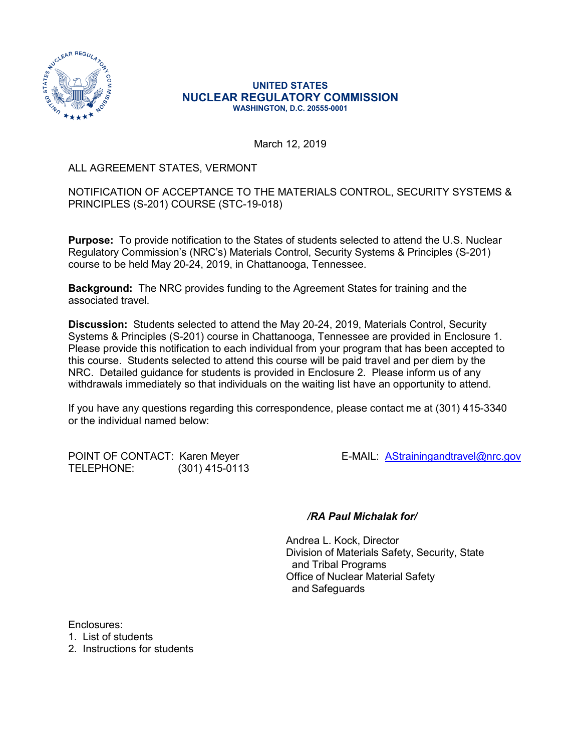

#### **UNITED STATES NUCLEAR REGULATORY COMMISSION WASHINGTON, D.C. 20555-0001**

March 12, 2019

### ALL AGREEMENT STATES, VERMONT

NOTIFICATION OF ACCEPTANCE TO THE MATERIALS CONTROL, SECURITY SYSTEMS & PRINCIPLES (S-201) COURSE (STC-19-018)

**Purpose:** To provide notification to the States of students selected to attend the U.S. Nuclear Regulatory Commission's (NRC's) Materials Control, Security Systems & Principles (S-201) course to be held May 20-24, 2019, in Chattanooga, Tennessee.

**Background:** The NRC provides funding to the Agreement States for training and the associated travel.

**Discussion:** Students selected to attend the May 20-24, 2019, Materials Control, Security Systems & Principles (S-201) course in Chattanooga, Tennessee are provided in Enclosure 1. Please provide this notification to each individual from your program that has been accepted to this course. Students selected to attend this course will be paid travel and per diem by the NRC. Detailed guidance for students is provided in Enclosure 2. Please inform us of any withdrawals immediately so that individuals on the waiting list have an opportunity to attend.

If you have any questions regarding this correspondence, please contact me at (301) 415-3340 or the individual named below:

POINT OF CONTACT: Karen Meyer **E-MAIL: [AStrainingandtravel@nrc.gov](mailto:AStrainingandtravel@nrc.gov)** TELEPHONE: (301) 415-0113

#### */RA Paul Michalak for/*

Andrea L. Kock, Director Division of Materials Safety, Security, State and Tribal Programs Office of Nuclear Material Safety and Safeguards

Enclosures:

1. List of students

2. Instructions for students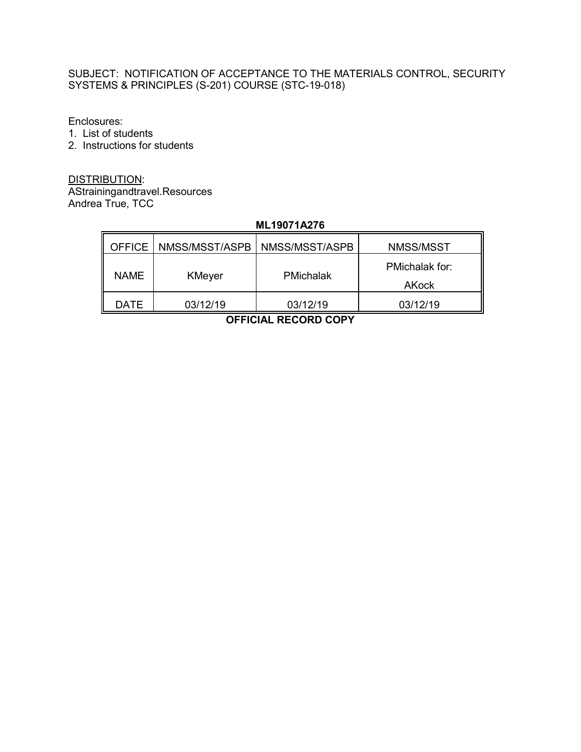### SUBJECT: NOTIFICATION OF ACCEPTANCE TO THE MATERIALS CONTROL, SECURITY SYSTEMS & PRINCIPLES (S-201) COURSE (STC-19-018)

Enclosures:

1. List of students

 $\mathbf{r}$ 

2. Instructions for students

DISTRIBUTION: AStrainingandtravel.Resources Andrea True, TCC

# **ML19071A276**

|             | OFFICE   NMSS/MSST/ASPB | NMSS/MSST/ASPB   | NMSS/MSST      |
|-------------|-------------------------|------------------|----------------|
| <b>NAME</b> | KMeyer                  | <b>PMichalak</b> | PMichalak for: |
|             |                         |                  | AKock          |
| DATE        | 03/12/19                | 03/12/19         | 03/12/19       |

**OFFICIAL RECORD COPY**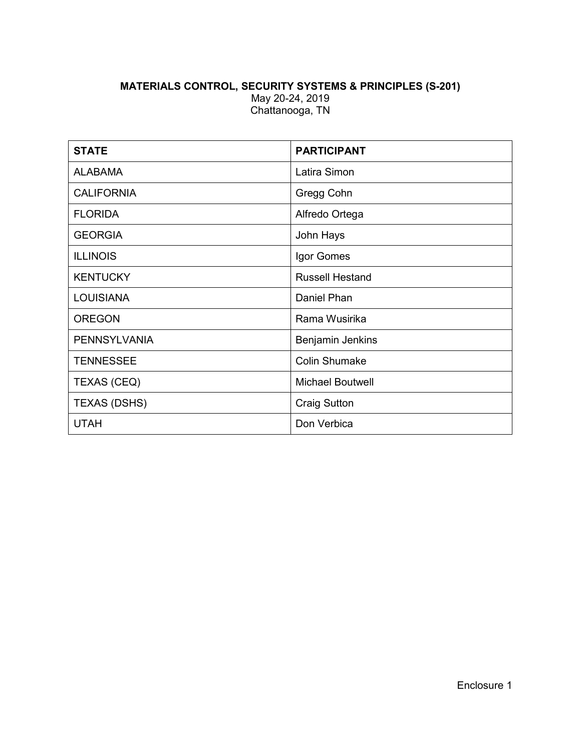## **MATERIALS CONTROL, SECURITY SYSTEMS & PRINCIPLES (S-201)** May 20-24, 2019 Chattanooga, TN

| <b>STATE</b>        | <b>PARTICIPANT</b>      |  |
|---------------------|-------------------------|--|
| <b>ALABAMA</b>      | Latira Simon            |  |
| <b>CALIFORNIA</b>   | Gregg Cohn              |  |
| <b>FLORIDA</b>      | Alfredo Ortega          |  |
| <b>GEORGIA</b>      | John Hays               |  |
| <b>ILLINOIS</b>     | Igor Gomes              |  |
| <b>KENTUCKY</b>     | <b>Russell Hestand</b>  |  |
| <b>LOUISIANA</b>    | Daniel Phan             |  |
| <b>OREGON</b>       | Rama Wusirika           |  |
| <b>PENNSYLVANIA</b> | Benjamin Jenkins        |  |
| <b>TENNESSEE</b>    | <b>Colin Shumake</b>    |  |
| <b>TEXAS (CEQ)</b>  | <b>Michael Boutwell</b> |  |
| <b>TEXAS (DSHS)</b> | <b>Craig Sutton</b>     |  |
| <b>UTAH</b>         | Don Verbica             |  |